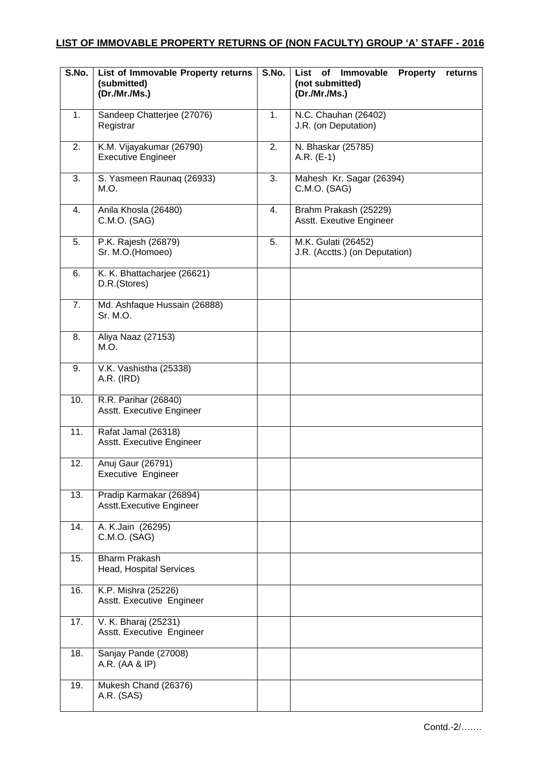## **LIST OF IMMOVABLE PROPERTY RETURNS OF (NON FACULTY) GROUP 'A' STAFF - 2016**

| $\overline{\mathsf{S}.\mathsf{No}}$ . | List of Immovable Property returns<br>(submitted)<br>(Dr./Mr./Ms.) | S.No. | <b>Immovable</b><br>of<br><b>Property</b><br>List<br>returns<br>(not submitted)<br>(Dr./Mr./Ms.) |
|---------------------------------------|--------------------------------------------------------------------|-------|--------------------------------------------------------------------------------------------------|
| 1.                                    | Sandeep Chatterjee (27076)<br>Registrar                            | 1.    | N.C. Chauhan (26402)<br>J.R. (on Deputation)                                                     |
| 2.                                    | K.M. Vijayakumar (26790)<br><b>Executive Engineer</b>              | 2.    | N. Bhaskar (25785)<br>$A.R. (E-1)$                                                               |
| 3.                                    | S. Yasmeen Raunaq (26933)<br>M.O.                                  | 3.    | Mahesh Kr. Sagar (26394)<br>C.M.O. (SAG)                                                         |
| 4.                                    | Anila Khosla (26480)<br>C.M.O. (SAG)                               | 4.    | Brahm Prakash (25229)<br>Asstt. Exeutive Engineer                                                |
| 5.                                    | P.K. Rajesh (26879)<br>Sr. M.O.(Homoeo)                            | 5.    | M.K. Gulati (26452)<br>J.R. (Acctts.) (on Deputation)                                            |
| 6.                                    | K. K. Bhattacharjee (26621)<br>D.R.(Stores)                        |       |                                                                                                  |
| 7.                                    | Md. Ashfaque Hussain (26888)<br>Sr. M.O.                           |       |                                                                                                  |
| 8.                                    | Aliya Naaz (27153)<br>M.O.                                         |       |                                                                                                  |
| 9.                                    | V.K. Vashistha (25338)<br>A.R. (IRD)                               |       |                                                                                                  |
| 10.                                   | R.R. Parihar (26840)<br>Asstt. Executive Engineer                  |       |                                                                                                  |
| 11.                                   | Rafat Jamal (26318)<br>Asstt. Executive Engineer                   |       |                                                                                                  |
| 12.                                   | Anuj Gaur (26791)<br>Executive Engineer                            |       |                                                                                                  |
| 13.                                   | Pradip Karmakar (26894)<br>Asstt. Executive Engineer               |       |                                                                                                  |
| 14.                                   | A. K.Jain (26295)<br>C.M.O. (SAG)                                  |       |                                                                                                  |
| 15.                                   | <b>Bharm Prakash</b><br>Head, Hospital Services                    |       |                                                                                                  |
| 16.                                   | K.P. Mishra (25226)<br>Asstt. Executive Engineer                   |       |                                                                                                  |
| 17.                                   | V. K. Bharaj (25231)<br>Asstt. Executive Engineer                  |       |                                                                                                  |
| 18.                                   | Sanjay Pande (27008)<br>A.R. (AA & IP)                             |       |                                                                                                  |
| 19.                                   | Mukesh Chand (26376)<br>A.R. (SAS)                                 |       |                                                                                                  |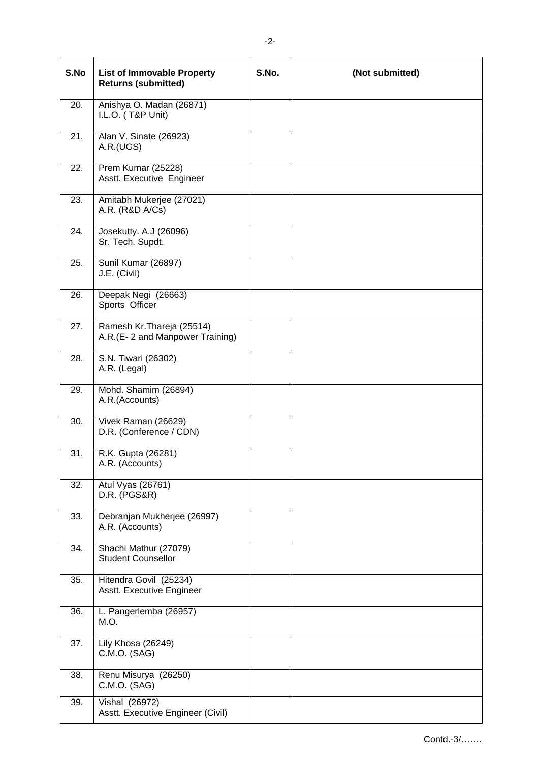| S.No | <b>List of Immovable Property</b><br><b>Returns (submitted)</b> | S.No. | (Not submitted) |
|------|-----------------------------------------------------------------|-------|-----------------|
| 20.  | Anishya O. Madan (26871)<br>I.L.O. (T&P Unit)                   |       |                 |
| 21.  | Alan V. Sinate (26923)<br>A.R.(UGS)                             |       |                 |
| 22.  | Prem Kumar (25228)<br>Asstt. Executive Engineer                 |       |                 |
| 23.  | Amitabh Mukerjee (27021)<br>A.R. (R&D A/Cs)                     |       |                 |
| 24.  | Josekutty. A.J (26096)<br>Sr. Tech. Supdt.                      |       |                 |
| 25.  | Sunil Kumar (26897)<br>J.E. (Civil)                             |       |                 |
| 26.  | Deepak Negi (26663)<br>Sports Officer                           |       |                 |
| 27.  | Ramesh Kr. Thareja (25514)<br>A.R.(E-2 and Manpower Training)   |       |                 |
| 28.  | S.N. Tiwari (26302)<br>A.R. (Legal)                             |       |                 |
| 29.  | Mohd. Shamim (26894)<br>A.R.(Accounts)                          |       |                 |
| 30.  | Vivek Raman (26629)<br>D.R. (Conference / CDN)                  |       |                 |
| 31.  | R.K. Gupta (26281)<br>A.R. (Accounts)                           |       |                 |
| 32.  | Atul Vyas (26761)<br><b>D.R. (PGS&amp;R)</b>                    |       |                 |
| 33.  | Debranjan Mukherjee (26997)<br>A.R. (Accounts)                  |       |                 |
| 34.  | Shachi Mathur (27079)<br><b>Student Counsellor</b>              |       |                 |
| 35.  | Hitendra Govil (25234)<br>Asstt. Executive Engineer             |       |                 |
| 36.  | L. Pangerlemba (26957)<br>M.O.                                  |       |                 |
| 37.  | Lily Khosa (26249)<br>C.M.O. (SAG)                              |       |                 |
| 38.  | Renu Misurya (26250)<br>C.M.O. (SAG)                            |       |                 |
| 39.  | <b>Vishal (26972)</b><br>Asstt. Executive Engineer (Civil)      |       |                 |